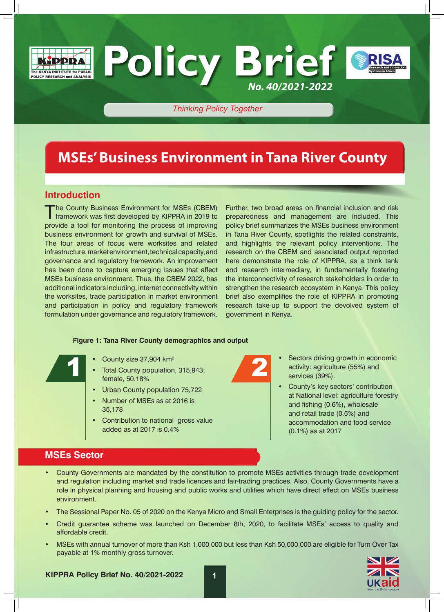



*Thinking Policy Together*

**Policy Brief**

# **MSEs' Business Environment in Tana River County**

## **Introduction**

The County Business Environment for MSEs (CBEM)<br>
framework was first developed by KIPPRA in 2019 to provide a tool for monitoring the process of improving business environment for growth and survival of MSEs. The four areas of focus were worksites and related infrastructure, market environment, technical capacity, and governance and regulatory framework. An improvement has been done to capture emerging issues that affect MSEs business environment. Thus, the CBEM 2022, has additional indicators including, internet connectivity within the worksites, trade participation in market environment and participation in policy and regulatory framework formulation under governance and regulatory framework.

Further, two broad areas on financial inclusion and risk preparedness and management are included. This policy brief summarizes the MSEs business environment in Tana River County, spotlights the related constraints, and highlights the relevant policy interventions. The research on the CBEM and associated output reported here demonstrate the role of KIPPRA, as a think tank and research intermediary, in fundamentally fostering the interconnectivity of research stakeholders in order to strengthen the research ecosystem in Kenya. This policy brief also exemplifies the role of KIPPRA in promoting research take-up to support the devolved system of government in Kenya.

*No. 40/2021-2022*

### **Figure 1: Tana River County demographics and output**

- County size 37,904 km<sup>2</sup>
- Total County population, 315,943; female, 50.18% County size 37,904 km<sup>2</sup><br>
Total County population, 315,943;<br>
female, 50.18%
	- Urban County population 75,722
	- Number of MSEs as at 2016 is 35,178
	- Contribution to national gross value added as at 2017 is 0.4%

Sectors driving growth in economic activity: agriculture (55%) and services (39%).

• County's key sectors' contribution at National level: agriculture forestry and fishing (0.6%), wholesale and retail trade (0.5%) and accommodation and food service (0.1%) as at 2017

## **MSEs Sector**

- County Governments are mandated by the constitution to promote MSEs activities through trade development and regulation including market and trade licences and fair-trading practices. Also, County Governments have a role in physical planning and housing and public works and utilities which have direct effect on MSEs business environment.
- The Sessional Paper No. 05 of 2020 on the Kenya Micro and Small Enterprises is the guiding policy for the sector.
- Credit guarantee scheme was launched on December 8th, 2020, to facilitate MSEs' access to quality and affordable credit.
- MSEs with annual turnover of more than Ksh 1,000,000 but less than Ksh 50,000,000 are eligible for Turn Over Tax payable at 1% monthly gross turnover.

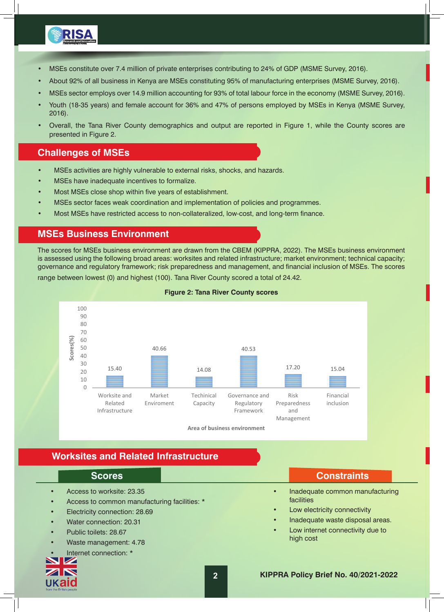

- MSEs constitute over 7.4 million of private enterprises contributing to 24% of GDP (MSME Survey, 2016).
- About 92% of all business in Kenya are MSEs constituting 95% of manufacturing enterprises (MSME Survey, 2016).
- MSEs sector employs over 14.9 million accounting for 93% of total labour force in the economy (MSME Survey, 2016).
- Youth (18-35 years) and female account for 36% and 47% of persons employed by MSEs in Kenya (MSME Survey, 2016).
- Overall, the Tana River County demographics and output are reported in Figure 1, while the County scores are presented in Figure 2.

## **Challenges of MSEs**

- MSEs activities are highly vulnerable to external risks, shocks, and hazards.
- MSEs have inadequate incentives to formalize.
- Most MSEs close shop within five years of establishment.
- MSEs sector faces weak coordination and implementation of policies and programmes.
- Most MSEs have restricted access to non-collateralized, low-cost, and long-term finance.

## **MSEs Business Environment**

The scores for MSEs business environment are drawn from the CBEM (KIPPRA, 2022). The MSEs business environment is assessed using the following broad areas: worksites and related infrastructure; market environment; technical capacity; governance and regulatory framework; risk preparedness and management, and financial inclusion of MSEs. The scores

range between lowest (0) and highest (100). Tana River County scored a total of 24.42.



### **Figure 2: Tana River County scores**

## **Worksites and Related Infrastructure**

- Access to worksite: 23.35
- Access to common manufacturing facilities: \*
- Electricity connection: 28.69
- Water connection: 20.31
- Public toilets: 28.67
- Waste management: 4.78
- Internet connection: \*



## **Scores Constraints**

- Inadequate common manufacturing facilities
- Low electricity connectivity
- Inadequate waste disposal areas.
- Low internet connectivity due to high cost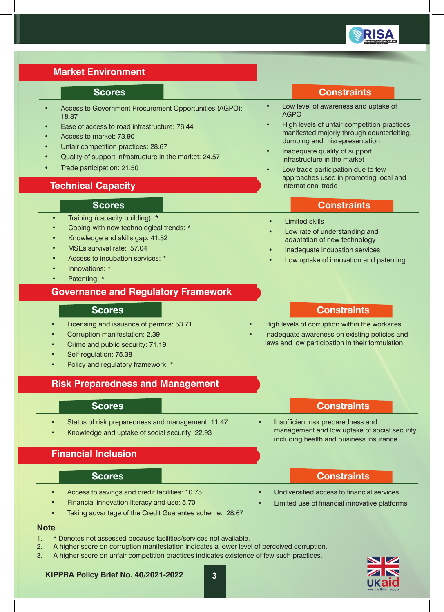

## **Market Environment**

- Access to Government Procurement Opportunities (AGPO): 18.87
- Ease of access to road infrastructure: 76.44
- Access to market: 73.90
- Unfair competition practices: 28.67
- Quality of support infrastructure in the market: 24.57
- Trade participation: 21.50

## **Technical Capacity**

- Training (capacity building): \*
- Coping with new technological trends: \*
- Knowledge and skills gap: 41.52
- MSEs survival rate: 57.04
- Access to incubation services: \*
- Innovations: \*
- Patenting: \*

## **Governance and Regulatory Framework**

### **Scores Constraints**

- Licensing and issuance of permits: 53.71
- Corruption manifestation: 2.39
- Crime and public security: 71.19
- Self-regulation: 75.38
- Policy and regulatory framework: \*

## **Risk Preparedness and Management**

- Status of risk preparedness and management: 11.47
- Knowledge and uptake of social security: 22.93

## **Financial Inclusion**

- Access to savings and credit facilities: 10.75
- Financial innovation literacy and use: 5.70
- Taking advantage of the Credit Guarantee scheme: 28.67

### **Note**

- 1. \* Denotes not assessed because facilities/services not available.
- 2. A higher score on corruption manifestation indicates a lower level of perceived corruption.
- 3. A higher score on unfair competition practices indicates existence of few such practices.

## **Scores Constraints**

- Low level of awareness and uptake of AGPO
- High levels of unfair competition practices manifested majorly through counterfeiting, dumping and misrepresentation
- Inadequate quality of support infrastructure in the market
- Low trade participation due to few approaches used in promoting local and international trade

## **Scores Constraints**

- **Limited skills**
- Low rate of understanding and adaptation of new technology
- Inadequate incubation services
- Low uptake of innovation and patenting

• High levels of corruption within the worksites • Inadequate awareness on existing policies and laws and low participation in their formulation

## **Scores Constraints**

• Insufficient risk preparedness and management and low uptake of social security including health and business insurance

## **Scores Constraints**

- Undiversified access to financial services
- Limited use of financial innovative platforms